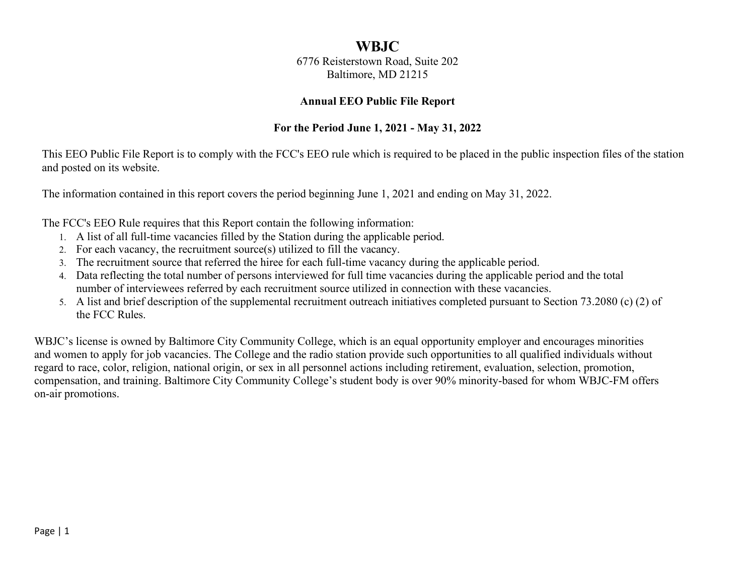# **WBJC**

6776 Reisterstown Road, Suite 202 Baltimore, MD 21215

#### **Annual EEO Public File Report**

# **For the Period June 1, 2021 - May 31, 2022**

This EEO Public File Report is to comply with the FCC's EEO rule which is required to be placed in the public inspection files of the station and posted on its website.

The information contained in this report covers the period beginning June 1, 2021 and ending on May 31, 2022.

The FCC's EEO Rule requires that this Report contain the following information:

- 1. A list of all full-time vacancies filled by the Station during the applicable period.
- 2. For each vacancy, the recruitment source(s) utilized to fill the vacancy.
- 3. The recruitment source that referred the hiree for each full-time vacancy during the applicable period.
- 4. Data reflecting the total number of persons interviewed for full time vacancies during the applicable period and the total number of interviewees referred by each recruitment source utilized in connection with these vacancies.
- 5. A list and brief description of the supplemental recruitment outreach initiatives completed pursuant to Section 73.2080 (c) (2) of the FCC Rules.

WBJC's license is owned by Baltimore City Community College, which is an equal opportunity employer and encourages minorities and women to apply for job vacancies. The College and the radio station provide such opportunities to all qualified individuals without regard to race, color, religion, national origin, or sex in all personnel actions including retirement, evaluation, selection, promotion, compensation, and training. Baltimore City Community College's student body is over 90% minority-based for whom WBJC-FM offers on-air promotions.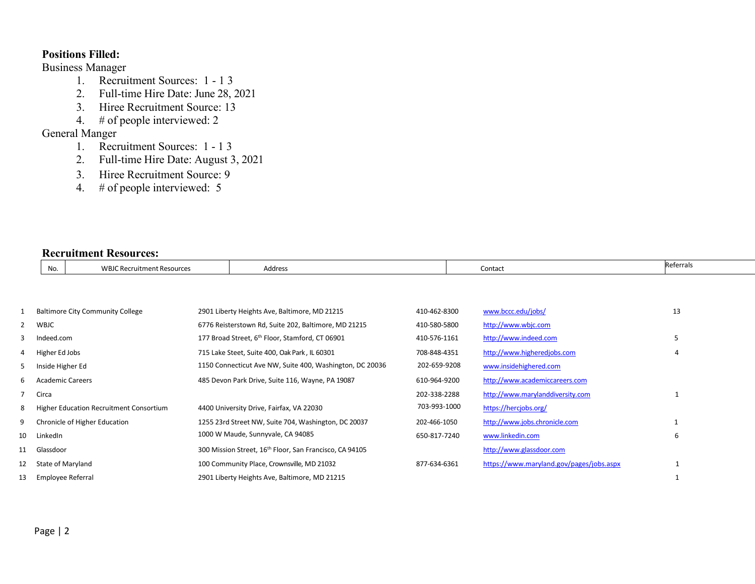## **Positions Filled:**

## Business Manager

- 1. Recruitment Sources: 1 1 3
- 2. Full-time Hire Date: June 28, 2021
- 3. Hiree Recruitment Source: 13
- 4. # of people interviewed: 2

## General Manger

- 1. Recruitment Sources: 1 1 3
- 2. Full-time Hire Date: August 3, 2021
- 3. Hiree Recruitment Source: 9
- 4. # of people interviewed: 5

#### **Recruitment Resources:**

|                | No.               | <b>WBJC Recruitment Resources</b>       | Address                                                             |              | Contact                                  | Referrals    |
|----------------|-------------------|-----------------------------------------|---------------------------------------------------------------------|--------------|------------------------------------------|--------------|
|                |                   |                                         |                                                                     |              |                                          |              |
|                |                   |                                         |                                                                     |              |                                          |              |
|                |                   | <b>Baltimore City Community College</b> | 2901 Liberty Heights Ave, Baltimore, MD 21215                       | 410-462-8300 | www.bccc.edu/jobs/                       | 13           |
| $\overline{2}$ | WBJC              |                                         | 6776 Reisterstown Rd, Suite 202, Baltimore, MD 21215                | 410-580-5800 | http://www.wbjc.com                      |              |
| 3              | Indeed.com        |                                         | 177 Broad Street, 6 <sup>th</sup> Floor, Stamford, CT 06901         | 410-576-1161 | http://www.indeed.com                    | 5            |
| 4              | Higher Ed Jobs    |                                         | 715 Lake Steet, Suite 400, Oak Park, IL 60301                       | 708-848-4351 | http://www.higheredjobs.com              | 4            |
| 5.             | Inside Higher Ed  |                                         | 1150 Connecticut Ave NW, Suite 400, Washington, DC 20036            | 202-659-9208 | www.insidehighered.com                   |              |
| 6              | Academic Careers  |                                         | 485 Devon Park Drive, Suite 116, Wayne, PA 19087                    | 610-964-9200 | http://www.academiccareers.com           |              |
|                | Circa             |                                         |                                                                     | 202-338-2288 | http://www.marylanddiversity.com         | 1            |
| 8              |                   | Higher Education Recruitment Consortium | 4400 University Drive, Fairfax, VA 22030                            | 703-993-1000 | https://hercjobs.org/                    |              |
| 9              |                   | Chronicle of Higher Education           | 1255 23rd Street NW, Suite 704, Washington, DC 20037                | 202-466-1050 | http://www.jobs.chronicle.com            | $\mathbf{1}$ |
| 10             | LinkedIn          |                                         | 1000 W Maude, Sunnyvale, CA 94085                                   | 650-817-7240 | www.linkedin.com                         | 6            |
| 11             | Glassdoor         |                                         | 300 Mission Street, 16 <sup>th</sup> Floor, San Francisco, CA 94105 |              | http://www.glassdoor.com                 |              |
| 12             | State of Maryland |                                         | 100 Community Place, Crownsville, MD 21032                          | 877-634-6361 | https://www.maryland.gov/pages/jobs.aspx |              |
| 13             | Employee Referral |                                         | 2901 Liberty Heights Ave, Baltimore, MD 21215                       |              |                                          |              |